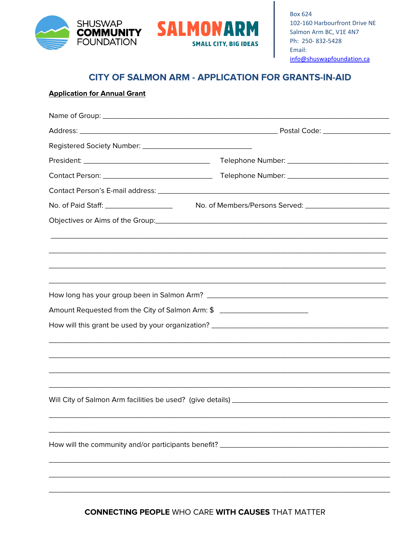



## CITY OF SALMON ARM - APPLICATION FOR GRANTS-IN-AID

## **Application for Annual Grant**

| No. of Paid Staff: ____________________                                           |  |
|-----------------------------------------------------------------------------------|--|
|                                                                                   |  |
|                                                                                   |  |
|                                                                                   |  |
|                                                                                   |  |
|                                                                                   |  |
|                                                                                   |  |
| Amount Requested from the City of Salmon Arm: \$ ________________________________ |  |
|                                                                                   |  |
|                                                                                   |  |
|                                                                                   |  |
|                                                                                   |  |
|                                                                                   |  |
|                                                                                   |  |
|                                                                                   |  |
|                                                                                   |  |
| How will the community and/or participants benefit? ____________________________  |  |
|                                                                                   |  |
|                                                                                   |  |
|                                                                                   |  |